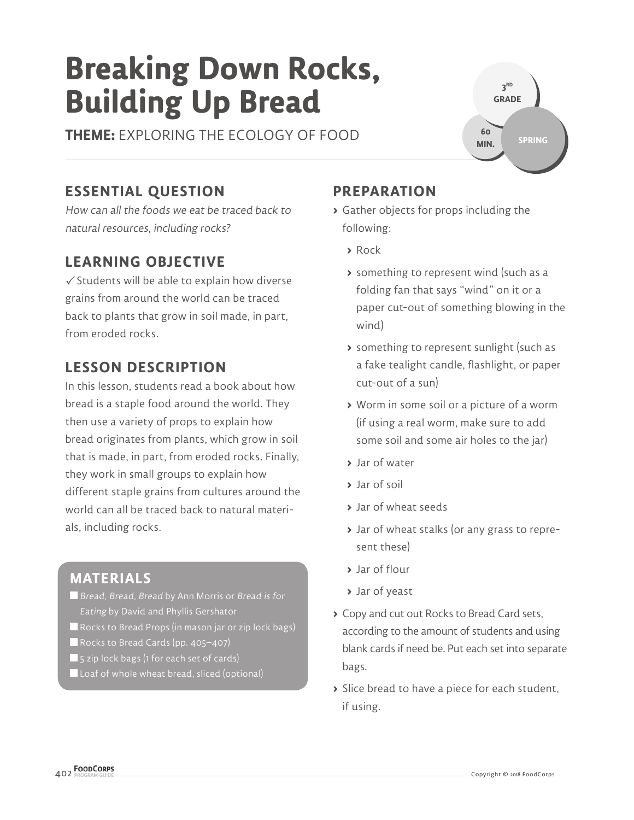# **Breaking Down Rocks, Building Up Bread**

**THEME:** EXPLORING THE ECOLOGY OF FOOD

#### **3 RD GRADE SPRING 60 MIN.**

# **ESSENTIAL QUESTION**

How can all the foods we eat be traced back to natural resources, including rocks?

## **LEARNING OBJECTIVE**

 $\checkmark$  Students will be able to explain how diverse grains from around the world can be traced back to plants that grow in soil made, in part, from eroded rocks.

## **LESSON DESCRIPTION**

In this lesson, students read a book about how bread is a staple food around the world. They then use a variety of props to explain how bread originates from plants, which grow in soil that is made, in part, from eroded rocks. Finally, they work in small groups to explain how different staple grains from cultures around the world can all be traced back to natural materials, including rocks.

## **MATERIALS**

Bread, Bread, Bread by Ann Morris or Bread is for Eating by David and Phyllis Gershator

- Rocks to Bread Props (in mason jar or zip lock bags)
- Rocks to Bread Cards (pp. 405-407)
- $\blacksquare$  5 zip lock bags (1 for each set of cards)
- Loaf of whole wheat bread, sliced (optional)

## **PREPARATION**

- **>** Gather objects for props including the following:
	- **>** Rock
	- **>** something to represent wind (such as a folding fan that says "wind" on it or a paper cut-out of something blowing in the wind)
	- **>** something to represent sunlight (such as a fake tealight candle, flashlight, or paper cut-out of a sun)
	- **>** Worm in some soil or a picture of a worm (if using a real worm, make sure to add some soil and some air holes to the jar)
	- **>** Jar of water
	- **>** Jar of soil
	- **>** Jar of wheat seeds
	- **>** Jar of wheat stalks (or any grass to represent these)
	- **>** Jar of flour
	- **>** Jar of yeast
- **>** Copy and cut out Rocks to Bread Card sets, according to the amount of students and using blank cards if need be. Put each set into separate bags.
- **>** Slice bread to have a piece for each student, if using.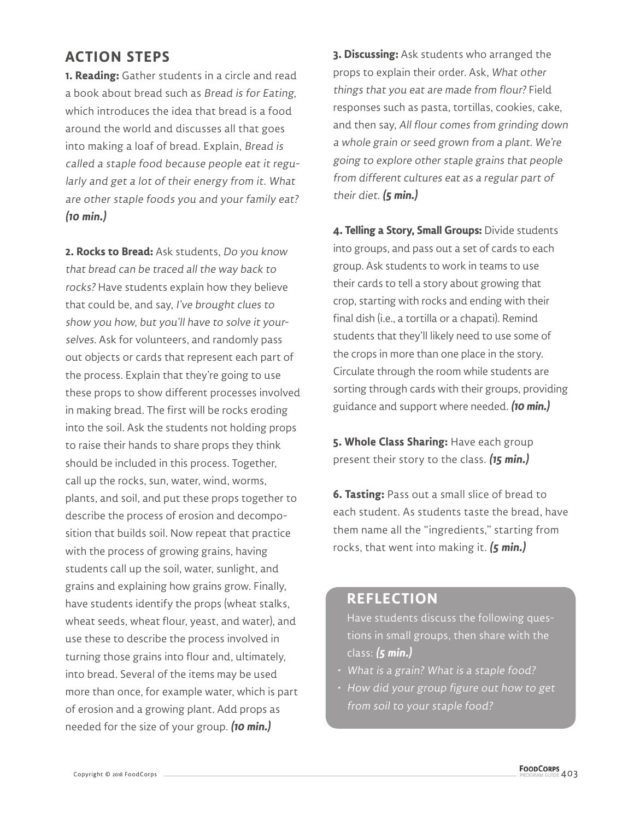#### **ACTION STEPS**

**1. Reading:** Gather students in a circle and read a book about bread such as Bread is for Eating, which introduces the idea that bread is a food around the world and discusses all that goes into making a loaf of bread. Explain, Bread is called a staple food because people eat it regularly and get a lot of their energy from it. What are other staple foods you and your family eat? **(10 min.)**

**2. Rocks to Bread:** Ask students, Do you know that bread can be traced all the way back to rocks? Have students explain how they believe that could be, and say, I've brought clues to show you how, but you'll have to solve it yourselves. Ask for volunteers, and randomly pass out objects or cards that represent each part of the process. Explain that they're going to use these props to show different processes involved in making bread. The first will be rocks eroding into the soil. Ask the students not holding props to raise their hands to share props they think should be included in this process. Together, call up the rocks, sun, water, wind, worms, plants, and soil, and put these props together to describe the process of erosion and decomposition that builds soil. Now repeat that practice with the process of growing grains, having students call up the soil, water, sunlight, and grains and explaining how grains grow. Finally, have students identify the props (wheat stalks, wheat seeds, wheat flour, yeast, and water), and use these to describe the process involved in turning those grains into flour and, ultimately, into bread. Several of the items may be used more than once, for example water, which is part of erosion and a growing plant. Add props as needed for the size of your group. **(10 min.)**

**3. Discussing:** Ask students who arranged the props to explain their order. Ask, What other things that you eat are made from flour? Field responses such as pasta, tortillas, cookies, cake, and then say, All flour comes from grinding down a whole grain or seed grown from a plant. We're going to explore other staple grains that people from different cultures eat as a regular part of their diet. **(5 min.)**

**4. Telling a Story, Small Groups:** Divide students into groups, and pass out a set of cards to each group. Ask students to work in teams to use their cards to tell a story about growing that crop, starting with rocks and ending with their final dish (i.e., a tortilla or a chapati). Remind students that they'll likely need to use some of the crops in more than one place in the story. Circulate through the room while students are sorting through cards with their groups, providing guidance and support where needed. **(10 min.)**

**5. Whole Class Sharing:** Have each group present their story to the class. **(15 min.)**

**6. Tasting:** Pass out a small slice of bread to each student. As students taste the bread, have them name all the "ingredients," starting from rocks, that went into making it. **(5 min.)**

#### **REFLECTION**

Have students discuss the following questions in small groups, then share with the class: **(5 min.)**

- What is a grain? What is a staple food?
- How did your group figure out how to get from soil to your staple food?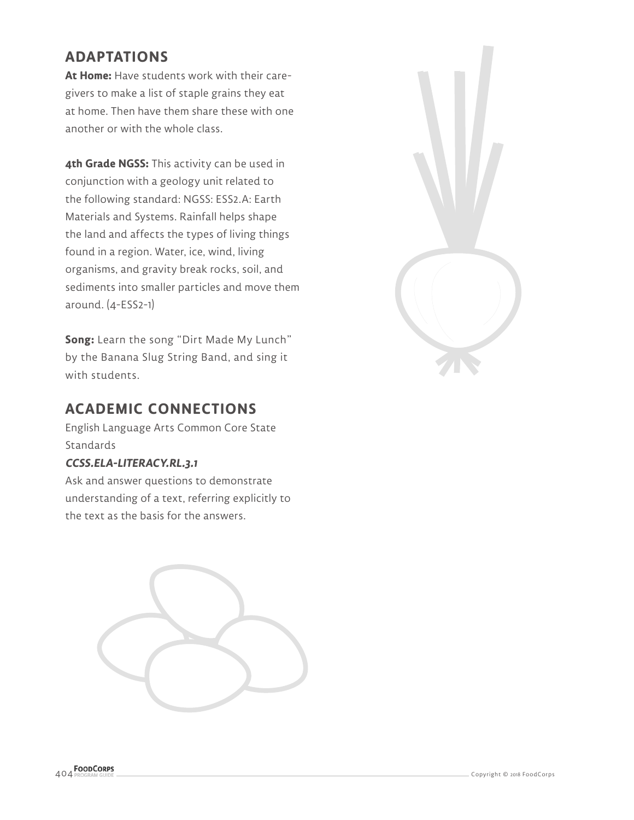#### **ADAPTATIONS**

**At Home:** Have students work with their caregivers to make a list of staple grains they eat at home. Then have them share these with one another or with the whole class.

**4th Grade NGSS:** This activity can be used in conjunction with a geology unit related to the following standard: NGSS: ESS2.A: Earth Materials and Systems. Rainfall helps shape the land and affects the types of living things found in a region. Water, ice, wind, living organisms, and gravity break rocks, soil, and sediments into smaller particles and move them around. (4-ESS2-1)

**Song:** Learn the song "Dirt Made My Lunch" by the Banana Slug String Band, and sing it with students.

#### **ACADEMIC CONNECTIONS**

English Language Arts Common Core State Standards

#### **CCSS.ELA-LITERACY.RL.3.1**

Ask and answer questions to demonstrate understanding of a text, referring explicitly to the text as the basis for the answers.

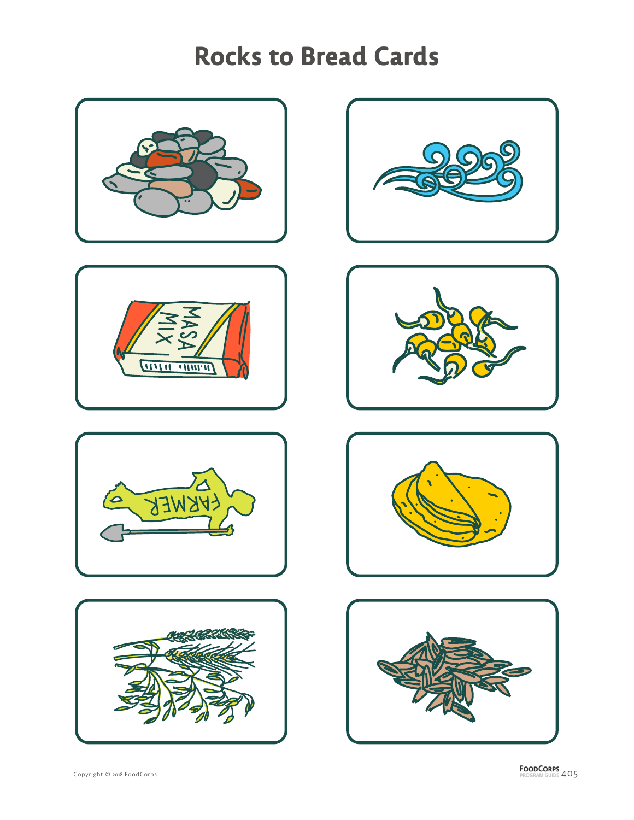# **Rocks to Bread Cards**















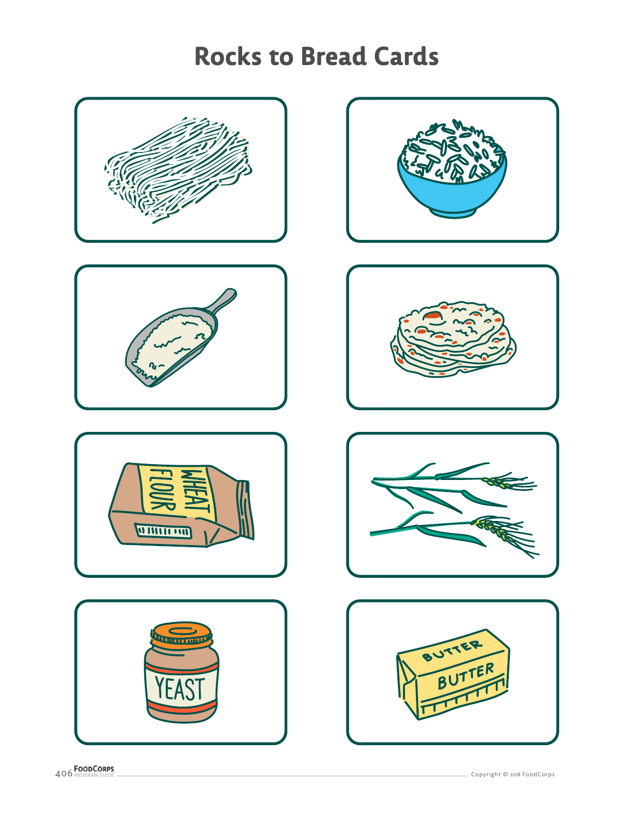# **Rocks to Bread Cards**